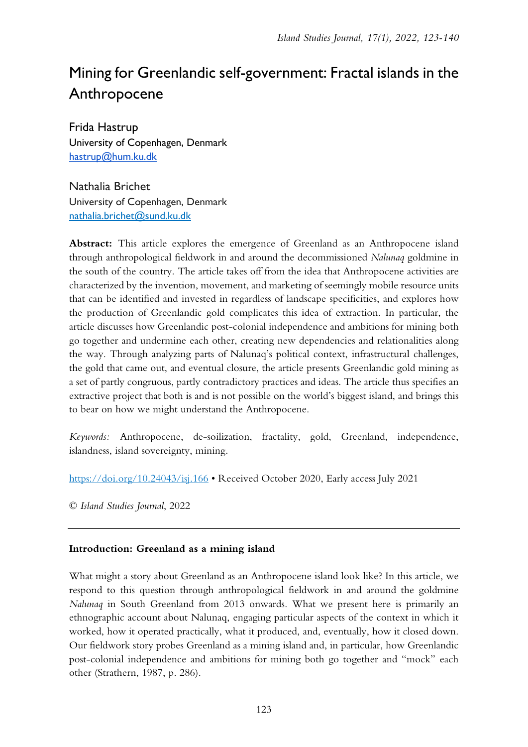# Mining for Greenlandic self-government: Fractal islands in the Anthropocene

Frida Hastrup University of Copenhagen, Denmark [hastrup@hum.ku.dk](mailto:hastrup@hum.ku.dk)

Nathalia Brichet University of Copenhagen, Denmark [nathalia.brichet@sund.ku.dk](mailto:nathalia.brichet@sund.ku.dk)

**Abstract:** This article explores the emergence of Greenland as an Anthropocene island through anthropological fieldwork in and around the decommissioned *Nalunaq* goldmine in the south of the country. The article takes off from the idea that Anthropocene activities are characterized by the invention, movement, and marketing of seemingly mobile resource units that can be identified and invested in regardless of landscape specificities, and explores how the production of Greenlandic gold complicates this idea of extraction. In particular, the article discusses how Greenlandic post-colonial independence and ambitions for mining both go together and undermine each other, creating new dependencies and relationalities along the way. Through analyzing parts of Nalunaq's political context, infrastructural challenges, the gold that came out, and eventual closure, the article presents Greenlandic gold mining as a set of partly congruous, partly contradictory practices and ideas. The article thus specifies an extractive project that both is and is not possible on the world's biggest island, and brings this to bear on how we might understand the Anthropocene.

*Keywords:* Anthropocene, de-soilization, fractality, gold, Greenland, independence, islandness, island sovereignty, mining.

<https://doi.org/10.24043/isj.166> • Received October 2020, Early access July 2021

© *Island Studies Journal*, 2022

# **Introduction: Greenland as a mining island**

What might a story about Greenland as an Anthropocene island look like? In this article, we respond to this question through anthropological fieldwork in and around the goldmine *Nalunaq* in South Greenland from 2013 onwards. What we present here is primarily an ethnographic account about Nalunaq, engaging particular aspects of the context in which it worked, how it operated practically, what it produced, and, eventually, how it closed down. Our fieldwork story probes Greenland as a mining island and, in particular, how Greenlandic post-colonial independence and ambitions for mining both go together and "mock" each other (Strathern, 1987, p. 286).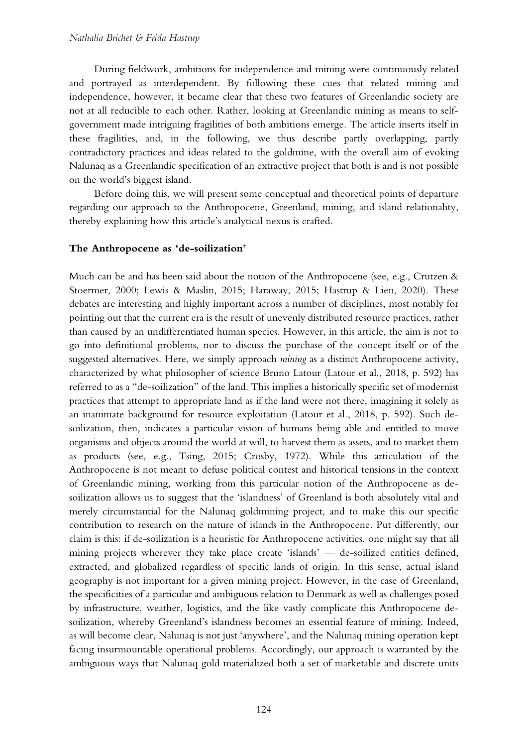During fieldwork, ambitions for independence and mining were continuously related and portrayed as interdependent. By following these cues that related mining and independence, however, it became clear that these two features of Greenlandic society are not at all reducible to each other. Rather, looking at Greenlandic mining as means to selfgovernment made intriguing fragilities of both ambitions emerge. The article inserts itself in these fragilities, and, in the following, we thus describe partly overlapping, partly contradictory practices and ideas related to the goldmine, with the overall aim of evoking Nalunaq as a Greenlandic specification of an extractive project that both is and is not possible on the world's biggest island.

Before doing this, we will present some conceptual and theoretical points of departure regarding our approach to the Anthropocene, Greenland, mining, and island relationality, thereby explaining how this article's analytical nexus is crafted.

## **The Anthropocene as 'de-soilization'**

Much can be and has been said about the notion of the Anthropocene (see, e.g., Crutzen & Stoermer, 2000; Lewis & Maslin, 2015; Haraway, 2015; Hastrup & Lien, 2020). These debates are interesting and highly important across a number of disciplines, most notably for pointing out that the current era is the result of unevenly distributed resource practices, rather than caused by an undifferentiated human species. However, in this article, the aim is not to go into definitional problems, nor to discuss the purchase of the concept itself or of the suggested alternatives. Here, we simply approach *mining* as a distinct Anthropocene activity, characterized by what philosopher of science Bruno Latour (Latour et al., 2018, p. 592) has referred to as a "de-soilization" of the land. This implies a historically specific set of modernist practices that attempt to appropriate land as if the land were not there, imagining it solely as an inanimate background for resource exploitation (Latour et al., 2018, p. 592). Such desoilization, then, indicates a particular vision of humans being able and entitled to move organisms and objects around the world at will, to harvest them as assets, and to market them as products (see, e.g., Tsing, 2015; Crosby, 1972). While this articulation of the Anthropocene is not meant to defuse political contest and historical tensions in the context of Greenlandic mining, working from this particular notion of the Anthropocene as desoilization allows us to suggest that the 'islandness' of Greenland is both absolutely vital and merely circumstantial for the Nalunaq goldmining project, and to make this our specific contribution to research on the nature of islands in the Anthropocene. Put differently, our claim is this: if de-soilization is a heuristic for Anthropocene activities, one might say that all mining projects wherever they take place create 'islands' — de-soilized entities defined, extracted, and globalized regardless of specific lands of origin. In this sense, actual island geography is not important for a given mining project. However, in the case of Greenland, the specificities of a particular and ambiguous relation to Denmark as well as challenges posed by infrastructure, weather, logistics, and the like vastly complicate this Anthropocene desoilization, whereby Greenland's islandness becomes an essential feature of mining. Indeed, as will become clear, Nalunaq is not just 'anywhere', and the Nalunaq mining operation kept facing insurmountable operational problems. Accordingly, our approach is warranted by the ambiguous ways that Nalunaq gold materialized both a set of marketable and discrete units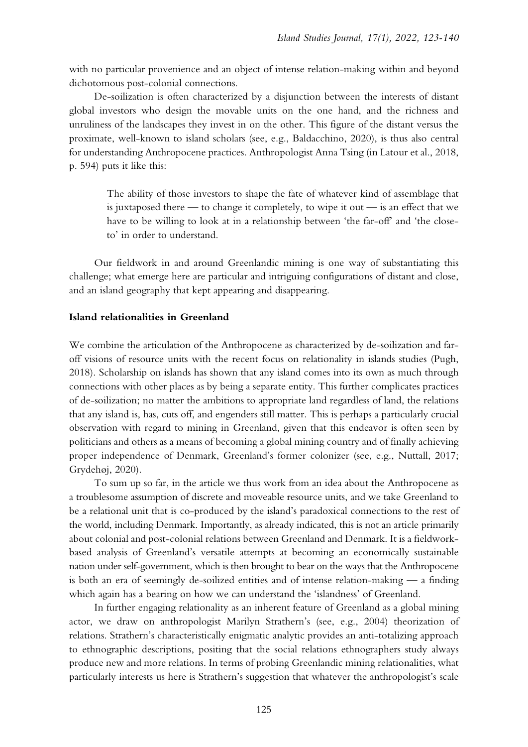with no particular provenience and an object of intense relation-making within and beyond dichotomous post-colonial connections.

De-soilization is often characterized by a disjunction between the interests of distant global investors who design the movable units on the one hand, and the richness and unruliness of the landscapes they invest in on the other. This figure of the distant versus the proximate, well-known to island scholars (see, e.g., Baldacchino, 2020), is thus also central for understanding Anthropocene practices. Anthropologist Anna Tsing (in Latour et al., 2018, p. 594) puts it like this:

The ability of those investors to shape the fate of whatever kind of assemblage that is juxtaposed there — to change it completely, to wipe it out — is an effect that we have to be willing to look at in a relationship between 'the far-off' and 'the closeto' in order to understand.

Our fieldwork in and around Greenlandic mining is one way of substantiating this challenge; what emerge here are particular and intriguing configurations of distant and close, and an island geography that kept appearing and disappearing.

#### **Island relationalities in Greenland**

We combine the articulation of the Anthropocene as characterized by de-soilization and faroff visions of resource units with the recent focus on relationality in islands studies (Pugh, 2018). Scholarship on islands has shown that any island comes into its own as much through connections with other places as by being a separate entity. This further complicates practices of de-soilization; no matter the ambitions to appropriate land regardless of land, the relations that any island is, has, cuts off, and engenders still matter. This is perhaps a particularly crucial observation with regard to mining in Greenland, given that this endeavor is often seen by politicians and others as a means of becoming a global mining country and of finally achieving proper independence of Denmark, Greenland's former colonizer (see, e.g., Nuttall, 2017; Grydehøj, 2020).

To sum up so far, in the article we thus work from an idea about the Anthropocene as a troublesome assumption of discrete and moveable resource units, and we take Greenland to be a relational unit that is co-produced by the island's paradoxical connections to the rest of the world, including Denmark. Importantly, as already indicated, this is not an article primarily about colonial and post-colonial relations between Greenland and Denmark. It is a fieldworkbased analysis of Greenland's versatile attempts at becoming an economically sustainable nation under self-government, which is then brought to bear on the ways that the Anthropocene is both an era of seemingly de-soilized entities and of intense relation-making  $\frac{1}{2}$  a finding which again has a bearing on how we can understand the 'islandness' of Greenland.

In further engaging relationality as an inherent feature of Greenland as a global mining actor, we draw on anthropologist Marilyn Strathern's (see, e.g., 2004) theorization of relations. Strathern's characteristically enigmatic analytic provides an anti-totalizing approach to ethnographic descriptions, positing that the social relations ethnographers study always produce new and more relations. In terms of probing Greenlandic mining relationalities, what particularly interests us here is Strathern's suggestion that whatever the anthropologist's scale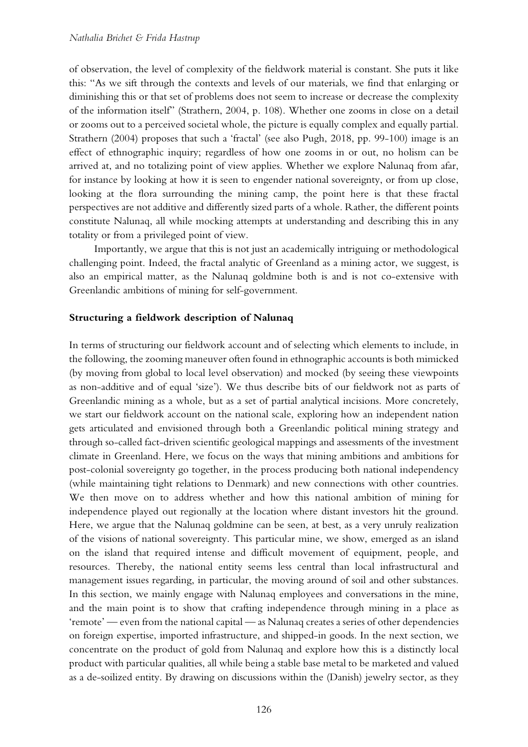of observation, the level of complexity of the fieldwork material is constant. She puts it like this: "As we sift through the contexts and levels of our materials, we find that enlarging or diminishing this or that set of problems does not seem to increase or decrease the complexity of the information itself" (Strathern, 2004, p. 108). Whether one zooms in close on a detail or zooms out to a perceived societal whole, the picture is equally complex and equally partial. Strathern (2004) proposes that such a 'fractal' (see also Pugh, 2018, pp. 99-100) image is an effect of ethnographic inquiry; regardless of how one zooms in or out, no holism can be arrived at, and no totalizing point of view applies. Whether we explore Nalunaq from afar, for instance by looking at how it is seen to engender national sovereignty, or from up close, looking at the flora surrounding the mining camp, the point here is that these fractal perspectives are not additive and differently sized parts of a whole. Rather, the different points constitute Nalunaq, all while mocking attempts at understanding and describing this in any totality or from a privileged point of view.

Importantly, we argue that this is not just an academically intriguing or methodological challenging point. Indeed, the fractal analytic of Greenland as a mining actor, we suggest, is also an empirical matter, as the Nalunaq goldmine both is and is not co-extensive with Greenlandic ambitions of mining for self-government.

#### **Structuring a fieldwork description of Nalunaq**

In terms of structuring our fieldwork account and of selecting which elements to include, in the following, the zooming maneuver often found in ethnographic accounts is both mimicked (by moving from global to local level observation) and mocked (by seeing these viewpoints as non-additive and of equal 'size'). We thus describe bits of our fieldwork not as parts of Greenlandic mining as a whole, but as a set of partial analytical incisions. More concretely, we start our fieldwork account on the national scale, exploring how an independent nation gets articulated and envisioned through both a Greenlandic political mining strategy and through so-called fact-driven scientific geological mappings and assessments of the investment climate in Greenland. Here, we focus on the ways that mining ambitions and ambitions for post-colonial sovereignty go together, in the process producing both national independency (while maintaining tight relations to Denmark) and new connections with other countries. We then move on to address whether and how this national ambition of mining for independence played out regionally at the location where distant investors hit the ground. Here, we argue that the Nalunaq goldmine can be seen, at best, as a very unruly realization of the visions of national sovereignty. This particular mine, we show, emerged as an island on the island that required intense and difficult movement of equipment, people, and resources. Thereby, the national entity seems less central than local infrastructural and management issues regarding, in particular, the moving around of soil and other substances. In this section, we mainly engage with Nalunaq employees and conversations in the mine, and the main point is to show that crafting independence through mining in a place as 'remote' — even from the national capital — as Nalunaq creates a series of other dependencies on foreign expertise, imported infrastructure, and shipped-in goods. In the next section, we concentrate on the product of gold from Nalunaq and explore how this is a distinctly local product with particular qualities, all while being a stable base metal to be marketed and valued as a de-soilized entity. By drawing on discussions within the (Danish) jewelry sector, as they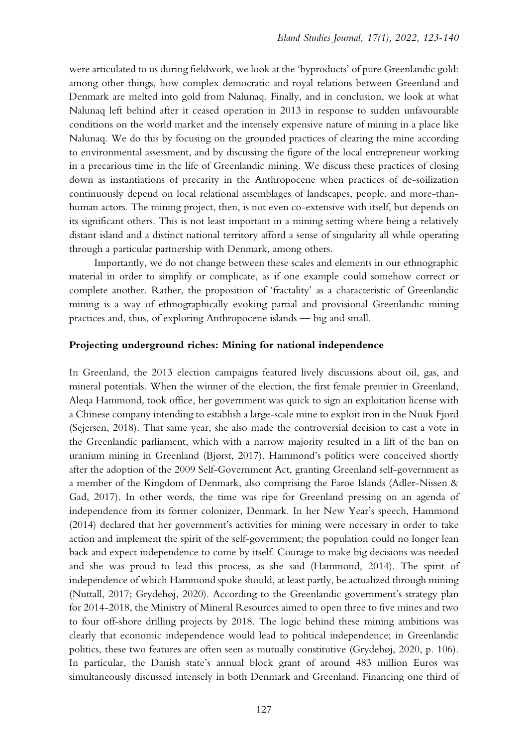were articulated to us during fieldwork, we look at the 'byproducts' of pure Greenlandic gold: among other things, how complex democratic and royal relations between Greenland and Denmark are melted into gold from Nalunaq. Finally, and in conclusion, we look at what Nalunaq left behind after it ceased operation in 2013 in response to sudden unfavourable conditions on the world market and the intensely expensive nature of mining in a place like Nalunaq. We do this by focusing on the grounded practices of clearing the mine according to environmental assessment, and by discussing the figure of the local entrepreneur working in a precarious time in the life of Greenlandic mining. We discuss these practices of closing down as instantiations of precarity in the Anthropocene when practices of de-soilization continuously depend on local relational assemblages of landscapes, people, and more-thanhuman actors. The mining project, then, is not even co-extensive with itself, but depends on its significant others. This is not least important in a mining setting where being a relatively distant island and a distinct national territory afford a sense of singularity all while operating through a particular partnership with Denmark, among others.

Importantly, we do not change between these scales and elements in our ethnographic material in order to simplify or complicate, as if one example could somehow correct or complete another. Rather, the proposition of 'fractality' as a characteristic of Greenlandic mining is a way of ethnographically evoking partial and provisional Greenlandic mining practices and, thus, of exploring Anthropocene islands — big and small.

#### **Projecting underground riches: Mining for national independence**

In Greenland, the 2013 election campaigns featured lively discussions about oil, gas, and mineral potentials. When the winner of the election, the first female premier in Greenland, Aleqa Hammond, took office, her government was quick to sign an exploitation license with a Chinese company intending to establish a large-scale mine to exploit iron in the Nuuk Fjord (Sejersen, 2018). That same year, she also made the controversial decision to cast a vote in the Greenlandic parliament, which with a narrow majority resulted in a lift of the ban on uranium mining in Greenland (Bjørst, 2017). Hammond's politics were conceived shortly after the adoption of the 2009 Self-Government Act, granting Greenland self-government as a member of the Kingdom of Denmark, also comprising the Faroe Islands (Adler-Nissen & Gad, 2017). In other words, the time was ripe for Greenland pressing on an agenda of independence from its former colonizer, Denmark. In her New Year's speech, Hammond (2014) declared that her government's activities for mining were necessary in order to take action and implement the spirit of the self-government; the population could no longer lean back and expect independence to come by itself. Courage to make big decisions was needed and she was proud to lead this process, as she said (Hammond, 2014). The spirit of independence of which Hammond spoke should, at least partly, be actualized through mining (Nuttall, 2017; Grydehøj, 2020). According to the Greenlandic government's strategy plan for 2014-2018, the Ministry of Mineral Resources aimed to open three to five mines and two to four off-shore drilling projects by 2018. The logic behind these mining ambitions was clearly that economic independence would lead to political independence; in Greenlandic politics, these two features are often seen as mutually constitutive (Grydehøj, 2020, p. 106). In particular, the Danish state's annual block grant of around 483 million Euros was simultaneously discussed intensely in both Denmark and Greenland. Financing one third of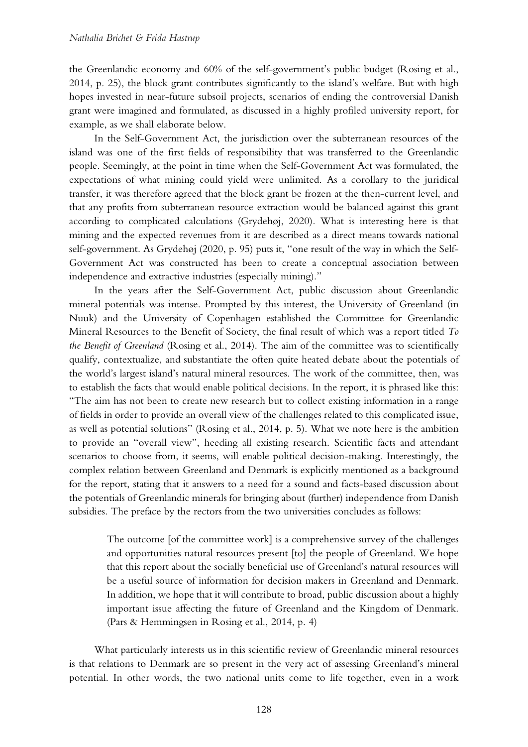the Greenlandic economy and 60% of the self-government's public budget (Rosing et al., 2014, p. 25), the block grant contributes significantly to the island's welfare. But with high hopes invested in near-future subsoil projects, scenarios of ending the controversial Danish grant were imagined and formulated, as discussed in a highly profiled university report, for example, as we shall elaborate below.

In the Self-Government Act, the jurisdiction over the subterranean resources of the island was one of the first fields of responsibility that was transferred to the Greenlandic people. Seemingly, at the point in time when the Self-Government Act was formulated, the expectations of what mining could yield were unlimited. As a corollary to the juridical transfer, it was therefore agreed that the block grant be frozen at the then-current level, and that any profits from subterranean resource extraction would be balanced against this grant according to complicated calculations (Grydehøj, 2020). What is interesting here is that mining and the expected revenues from it are described as a direct means towards national self-government. As Grydehøj (2020, p. 95) puts it, "one result of the way in which the Self-Government Act was constructed has been to create a conceptual association between independence and extractive industries (especially mining)."

In the years after the Self-Government Act, public discussion about Greenlandic mineral potentials was intense. Prompted by this interest, the University of Greenland (in Nuuk) and the University of Copenhagen established the Committee for Greenlandic Mineral Resources to the Benefit of Society, the final result of which was a report titled *To the Benefit of Greenland* (Rosing et al., 2014). The aim of the committee was to scientifically qualify, contextualize, and substantiate the often quite heated debate about the potentials of the world's largest island's natural mineral resources. The work of the committee, then, was to establish the facts that would enable political decisions. In the report, it is phrased like this: "The aim has not been to create new research but to collect existing information in a range of fields in order to provide an overall view of the challenges related to this complicated issue, as well as potential solutions" (Rosing et al., 2014, p. 5). What we note here is the ambition to provide an "overall view", heeding all existing research. Scientific facts and attendant scenarios to choose from, it seems, will enable political decision-making. Interestingly, the complex relation between Greenland and Denmark is explicitly mentioned as a background for the report, stating that it answers to a need for a sound and facts-based discussion about the potentials of Greenlandic minerals for bringing about (further) independence from Danish subsidies. The preface by the rectors from the two universities concludes as follows:

The outcome [of the committee work] is a comprehensive survey of the challenges and opportunities natural resources present [to] the people of Greenland. We hope that this report about the socially beneficial use of Greenland's natural resources will be a useful source of information for decision makers in Greenland and Denmark. In addition, we hope that it will contribute to broad, public discussion about a highly important issue affecting the future of Greenland and the Kingdom of Denmark. (Pars & Hemmingsen in Rosing et al., 2014, p. 4)

What particularly interests us in this scientific review of Greenlandic mineral resources is that relations to Denmark are so present in the very act of assessing Greenland's mineral potential. In other words, the two national units come to life together, even in a work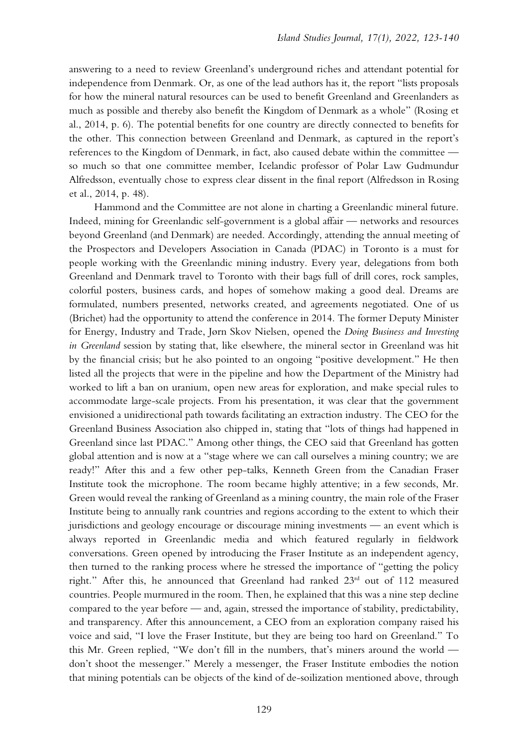answering to a need to review Greenland's underground riches and attendant potential for independence from Denmark. Or, as one of the lead authors has it, the report "lists proposals for how the mineral natural resources can be used to benefit Greenland and Greenlanders as much as possible and thereby also benefit the Kingdom of Denmark as a whole" (Rosing et al., 2014, p. 6). The potential benefits for one country are directly connected to benefits for the other. This connection between Greenland and Denmark, as captured in the report's references to the Kingdom of Denmark, in fact, also caused debate within the committee so much so that one committee member, Icelandic professor of Polar Law Gudmundur Alfredsson, eventually chose to express clear dissent in the final report (Alfredsson in Rosing et al., 2014, p. 48).

Hammond and the Committee are not alone in charting a Greenlandic mineral future. Indeed, mining for Greenlandic self-government is a global affair — networks and resources beyond Greenland (and Denmark) are needed. Accordingly, attending the annual meeting of the Prospectors and Developers Association in Canada (PDAC) in Toronto is a must for people working with the Greenlandic mining industry. Every year, delegations from both Greenland and Denmark travel to Toronto with their bags full of drill cores, rock samples, colorful posters, business cards, and hopes of somehow making a good deal. Dreams are formulated, numbers presented, networks created, and agreements negotiated. One of us (Brichet) had the opportunity to attend the conference in 2014. The former Deputy Minister for Energy, Industry and Trade, Jørn Skov Nielsen, opened the *Doing Business and Investing in Greenland* session by stating that, like elsewhere, the mineral sector in Greenland was hit by the financial crisis; but he also pointed to an ongoing "positive development." He then listed all the projects that were in the pipeline and how the Department of the Ministry had worked to lift a ban on uranium, open new areas for exploration, and make special rules to accommodate large-scale projects. From his presentation, it was clear that the government envisioned a unidirectional path towards facilitating an extraction industry. The CEO for the Greenland Business Association also chipped in, stating that "lots of things had happened in Greenland since last PDAC." Among other things, the CEO said that Greenland has gotten global attention and is now at a "stage where we can call ourselves a mining country; we are ready!" After this and a few other pep-talks, Kenneth Green from the Canadian Fraser Institute took the microphone. The room became highly attentive; in a few seconds, Mr. Green would reveal the ranking of Greenland as a mining country, the main role of the Fraser Institute being to annually rank countries and regions according to the extent to which their jurisdictions and geology encourage or discourage mining investments — an event which is always reported in Greenlandic media and which featured regularly in fieldwork conversations. Green opened by introducing the Fraser Institute as an independent agency, then turned to the ranking process where he stressed the importance of "getting the policy right." After this, he announced that Greenland had ranked 23<sup>rd</sup> out of 112 measured countries. People murmured in the room. Then, he explained that this was a nine step decline compared to the year before — and, again, stressed the importance of stability, predictability, and transparency. After this announcement, a CEO from an exploration company raised his voice and said, "I love the Fraser Institute, but they are being too hard on Greenland." To this Mr. Green replied, "We don't fill in the numbers, that's miners around the world don't shoot the messenger." Merely a messenger, the Fraser Institute embodies the notion that mining potentials can be objects of the kind of de-soilization mentioned above, through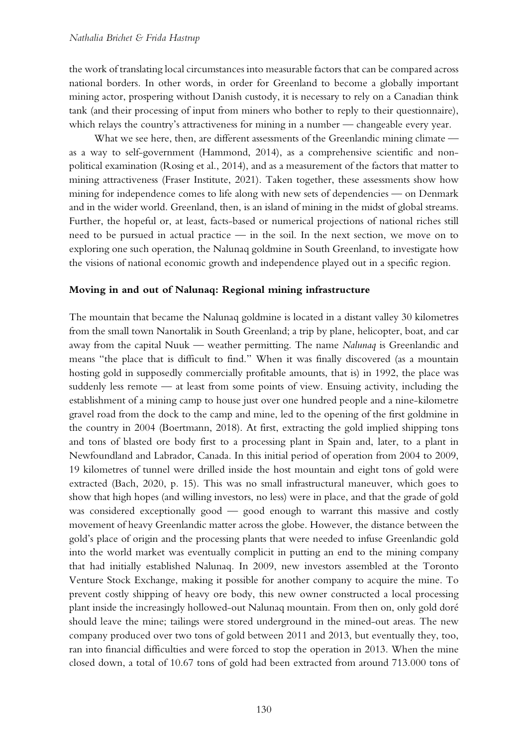the work of translating local circumstances into measurable factors that can be compared across national borders. In other words, in order for Greenland to become a globally important mining actor, prospering without Danish custody, it is necessary to rely on a Canadian think tank (and their processing of input from miners who bother to reply to their questionnaire), which relays the country's attractiveness for mining in a number — changeable every year.

What we see here, then, are different assessments of the Greenlandic mining climate as a way to self-government (Hammond, 2014), as a comprehensive scientific and nonpolitical examination (Rosing et al., 2014), and as a measurement of the factors that matter to mining attractiveness (Fraser Institute, 2021). Taken together, these assessments show how mining for independence comes to life along with new sets of dependencies — on Denmark and in the wider world. Greenland, then, is an island of mining in the midst of global streams. Further, the hopeful or, at least, facts-based or numerical projections of national riches still need to be pursued in actual practice — in the soil. In the next section, we move on to exploring one such operation, the Nalunaq goldmine in South Greenland, to investigate how the visions of national economic growth and independence played out in a specific region.

## **Moving in and out of Nalunaq: Regional mining infrastructure**

The mountain that became the Nalunaq goldmine is located in a distant valley 30 kilometres from the small town Nanortalik in South Greenland; a trip by plane, helicopter, boat, and car away from the capital Nuuk — weather permitting. The name *Nalunaq* is Greenlandic and means "the place that is difficult to find." When it was finally discovered (as a mountain hosting gold in supposedly commercially profitable amounts, that is) in 1992, the place was suddenly less remote — at least from some points of view. Ensuing activity, including the establishment of a mining camp to house just over one hundred people and a nine-kilometre gravel road from the dock to the camp and mine, led to the opening of the first goldmine in the country in 2004 (Boertmann, 2018). At first, extracting the gold implied shipping tons and tons of blasted ore body first to a processing plant in Spain and, later, to a plant in Newfoundland and Labrador, Canada. In this initial period of operation from 2004 to 2009, 19 kilometres of tunnel were drilled inside the host mountain and eight tons of gold were extracted (Bach, 2020, p. 15). This was no small infrastructural maneuver, which goes to show that high hopes (and willing investors, no less) were in place, and that the grade of gold was considered exceptionally good — good enough to warrant this massive and costly movement of heavy Greenlandic matter across the globe. However, the distance between the gold's place of origin and the processing plants that were needed to infuse Greenlandic gold into the world market was eventually complicit in putting an end to the mining company that had initially established Nalunaq. In 2009, new investors assembled at the Toronto Venture Stock Exchange, making it possible for another company to acquire the mine. To prevent costly shipping of heavy ore body, this new owner constructed a local processing plant inside the increasingly hollowed-out Nalunaq mountain. From then on, only gold doré should leave the mine; tailings were stored underground in the mined-out areas. The new company produced over two tons of gold between 2011 and 2013, but eventually they, too, ran into financial difficulties and were forced to stop the operation in 2013. When the mine closed down, a total of 10.67 tons of gold had been extracted from around 713.000 tons of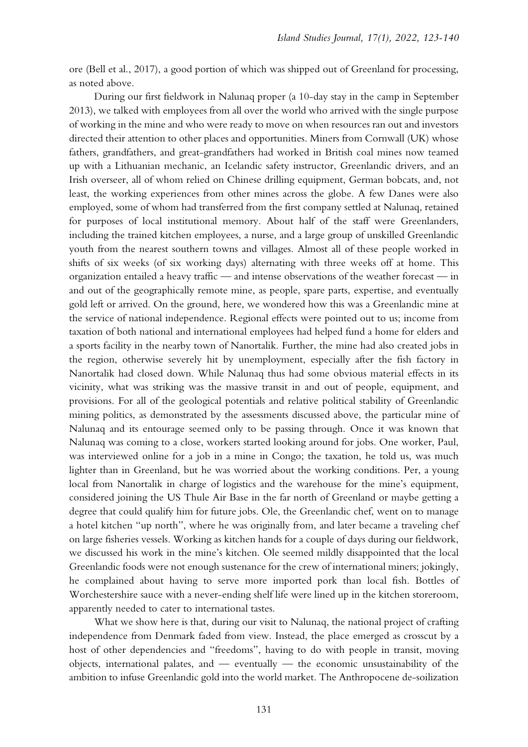ore (Bell et al., 2017), a good portion of which was shipped out of Greenland for processing, as noted above.

During our first fieldwork in Nalunaq proper (a 10-day stay in the camp in September 2013), we talked with employees from all over the world who arrived with the single purpose of working in the mine and who were ready to move on when resources ran out and investors directed their attention to other places and opportunities. Miners from Cornwall (UK) whose fathers, grandfathers, and great-grandfathers had worked in British coal mines now teamed up with a Lithuanian mechanic, an Icelandic safety instructor, Greenlandic drivers, and an Irish overseer, all of whom relied on Chinese drilling equipment, German bobcats, and, not least, the working experiences from other mines across the globe. A few Danes were also employed, some of whom had transferred from the first company settled at Nalunaq, retained for purposes of local institutional memory. About half of the staff were Greenlanders, including the trained kitchen employees, a nurse, and a large group of unskilled Greenlandic youth from the nearest southern towns and villages. Almost all of these people worked in shifts of six weeks (of six working days) alternating with three weeks off at home. This organization entailed a heavy traffic — and intense observations of the weather forecast — in and out of the geographically remote mine, as people, spare parts, expertise, and eventually gold left or arrived. On the ground, here, we wondered how this was a Greenlandic mine at the service of national independence. Regional effects were pointed out to us; income from taxation of both national and international employees had helped fund a home for elders and a sports facility in the nearby town of Nanortalik. Further, the mine had also created jobs in the region, otherwise severely hit by unemployment, especially after the fish factory in Nanortalik had closed down. While Nalunaq thus had some obvious material effects in its vicinity, what was striking was the massive transit in and out of people, equipment, and provisions. For all of the geological potentials and relative political stability of Greenlandic mining politics, as demonstrated by the assessments discussed above, the particular mine of Nalunaq and its entourage seemed only to be passing through. Once it was known that Nalunaq was coming to a close, workers started looking around for jobs. One worker, Paul, was interviewed online for a job in a mine in Congo; the taxation, he told us, was much lighter than in Greenland, but he was worried about the working conditions. Per, a young local from Nanortalik in charge of logistics and the warehouse for the mine's equipment, considered joining the US Thule Air Base in the far north of Greenland or maybe getting a degree that could qualify him for future jobs. Ole, the Greenlandic chef, went on to manage a hotel kitchen "up north", where he was originally from, and later became a traveling chef on large fisheries vessels. Working as kitchen hands for a couple of days during our fieldwork, we discussed his work in the mine's kitchen. Ole seemed mildly disappointed that the local Greenlandic foods were not enough sustenance for the crew of international miners; jokingly, he complained about having to serve more imported pork than local fish. Bottles of Worchestershire sauce with a never-ending shelf life were lined up in the kitchen storeroom, apparently needed to cater to international tastes.

What we show here is that, during our visit to Nalunaq, the national project of crafting independence from Denmark faded from view. Instead, the place emerged as crosscut by a host of other dependencies and "freedoms", having to do with people in transit, moving objects, international palates, and — eventually — the economic unsustainability of the ambition to infuse Greenlandic gold into the world market. The Anthropocene de-soilization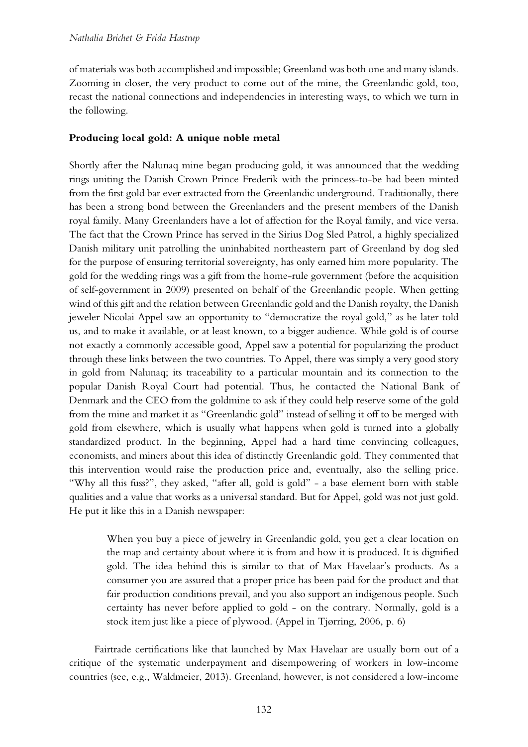of materials was both accomplished and impossible; Greenland was both one and many islands. Zooming in closer, the very product to come out of the mine, the Greenlandic gold, too, recast the national connections and independencies in interesting ways, to which we turn in the following.

## **Producing local gold: A unique noble metal**

Shortly after the Nalunaq mine began producing gold, it was announced that the wedding rings uniting the Danish Crown Prince Frederik with the princess-to-be had been minted from the first gold bar ever extracted from the Greenlandic underground. Traditionally, there has been a strong bond between the Greenlanders and the present members of the Danish royal family. Many Greenlanders have a lot of affection for the Royal family, and vice versa. The fact that the Crown Prince has served in the Sirius Dog Sled Patrol, a highly specialized Danish military unit patrolling the uninhabited northeastern part of Greenland by dog sled for the purpose of ensuring territorial sovereignty, has only earned him more popularity. The gold for the wedding rings was a gift from the home-rule government (before the acquisition of self-government in 2009) presented on behalf of the Greenlandic people. When getting wind of this gift and the relation between Greenlandic gold and the Danish royalty, the Danish jeweler Nicolai Appel saw an opportunity to "democratize the royal gold," as he later told us, and to make it available, or at least known, to a bigger audience. While gold is of course not exactly a commonly accessible good, Appel saw a potential for popularizing the product through these links between the two countries. To Appel, there was simply a very good story in gold from Nalunaq; its traceability to a particular mountain and its connection to the popular Danish Royal Court had potential. Thus, he contacted the National Bank of Denmark and the CEO from the goldmine to ask if they could help reserve some of the gold from the mine and market it as "Greenlandic gold" instead of selling it off to be merged with gold from elsewhere, which is usually what happens when gold is turned into a globally standardized product. In the beginning, Appel had a hard time convincing colleagues, economists, and miners about this idea of distinctly Greenlandic gold. They commented that this intervention would raise the production price and, eventually, also the selling price. "Why all this fuss?", they asked, "after all, gold is gold" - a base element born with stable qualities and a value that works as a universal standard. But for Appel, gold was not just gold. He put it like this in a Danish newspaper:

When you buy a piece of jewelry in Greenlandic gold, you get a clear location on the map and certainty about where it is from and how it is produced. It is dignified gold. The idea behind this is similar to that of Max Havelaar's products. As a consumer you are assured that a proper price has been paid for the product and that fair production conditions prevail, and you also support an indigenous people. Such certainty has never before applied to gold - on the contrary. Normally, gold is a stock item just like a piece of plywood. (Appel in Tjørring, 2006, p. 6)

Fairtrade certifications like that launched by Max Havelaar are usually born out of a critique of the systematic underpayment and disempowering of workers in low-income countries (see, e.g., Waldmeier, 2013). Greenland, however, is not considered a low-income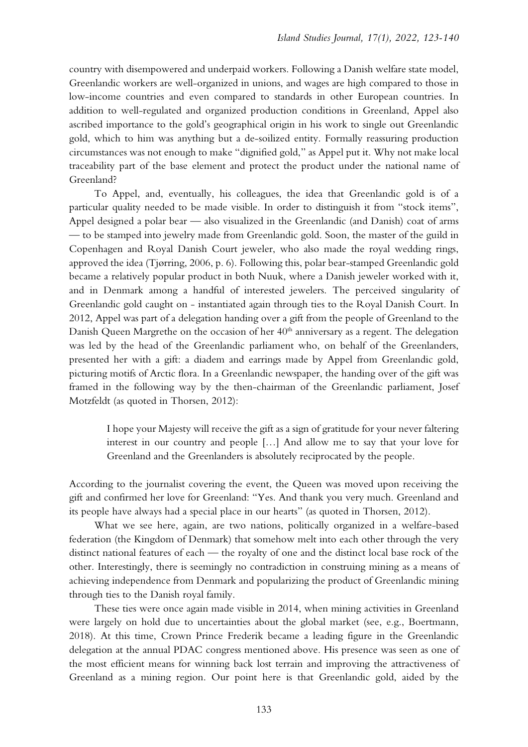country with disempowered and underpaid workers. Following a Danish welfare state model, Greenlandic workers are well-organized in unions, and wages are high compared to those in low-income countries and even compared to standards in other European countries. In addition to well-regulated and organized production conditions in Greenland, Appel also ascribed importance to the gold's geographical origin in his work to single out Greenlandic gold, which to him was anything but a de-soilized entity. Formally reassuring production circumstances was not enough to make "dignified gold," as Appel put it. Why not make local traceability part of the base element and protect the product under the national name of Greenland?

To Appel, and, eventually, his colleagues, the idea that Greenlandic gold is of a particular quality needed to be made visible. In order to distinguish it from "stock items", Appel designed a polar bear — also visualized in the Greenlandic (and Danish) coat of arms — to be stamped into jewelry made from Greenlandic gold. Soon, the master of the guild in Copenhagen and Royal Danish Court jeweler, who also made the royal wedding rings, approved the idea (Tjørring, 2006, p. 6). Following this, polar bear-stamped Greenlandic gold became a relatively popular product in both Nuuk, where a Danish jeweler worked with it, and in Denmark among a handful of interested jewelers. The perceived singularity of Greenlandic gold caught on - instantiated again through ties to the Royal Danish Court. In 2012, Appel was part of a delegation handing over a gift from the people of Greenland to the Danish Queen Margrethe on the occasion of her 40<sup>th</sup> anniversary as a regent. The delegation was led by the head of the Greenlandic parliament who, on behalf of the Greenlanders, presented her with a gift: a diadem and earrings made by Appel from Greenlandic gold, picturing motifs of Arctic flora. In a Greenlandic newspaper, the handing over of the gift was framed in the following way by the then-chairman of the Greenlandic parliament, Josef Motzfeldt (as quoted in Thorsen, 2012):

I hope your Majesty will receive the gift as a sign of gratitude for your never faltering interest in our country and people […] And allow me to say that your love for Greenland and the Greenlanders is absolutely reciprocated by the people.

According to the journalist covering the event, the Queen was moved upon receiving the gift and confirmed her love for Greenland: "Yes. And thank you very much. Greenland and its people have always had a special place in our hearts" (as quoted in Thorsen, 2012).

What we see here, again, are two nations, politically organized in a welfare-based federation (the Kingdom of Denmark) that somehow melt into each other through the very distinct national features of each — the royalty of one and the distinct local base rock of the other. Interestingly, there is seemingly no contradiction in construing mining as a means of achieving independence from Denmark and popularizing the product of Greenlandic mining through ties to the Danish royal family.

These ties were once again made visible in 2014, when mining activities in Greenland were largely on hold due to uncertainties about the global market (see, e.g., Boertmann, 2018). At this time, Crown Prince Frederik became a leading figure in the Greenlandic delegation at the annual PDAC congress mentioned above. His presence was seen as one of the most efficient means for winning back lost terrain and improving the attractiveness of Greenland as a mining region. Our point here is that Greenlandic gold, aided by the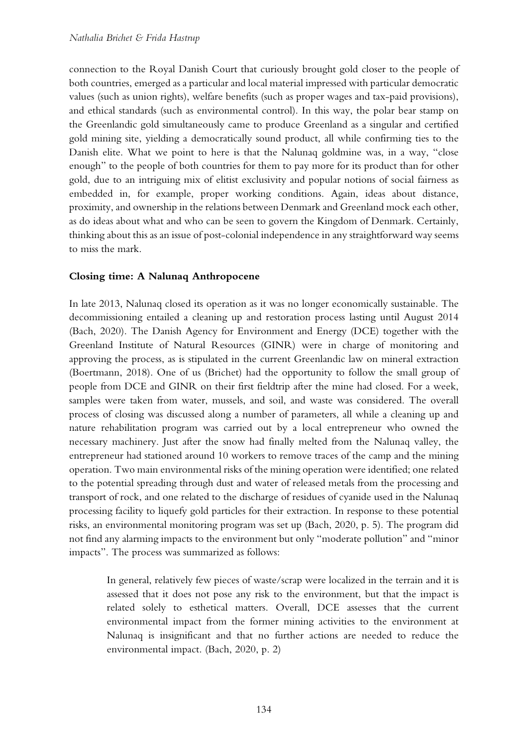connection to the Royal Danish Court that curiously brought gold closer to the people of both countries, emerged as a particular and local material impressed with particular democratic values (such as union rights), welfare benefits (such as proper wages and tax-paid provisions), and ethical standards (such as environmental control). In this way, the polar bear stamp on the Greenlandic gold simultaneously came to produce Greenland as a singular and certified gold mining site, yielding a democratically sound product, all while confirming ties to the Danish elite. What we point to here is that the Nalunaq goldmine was, in a way, "close enough" to the people of both countries for them to pay more for its product than for other gold, due to an intriguing mix of elitist exclusivity and popular notions of social fairness as embedded in, for example, proper working conditions. Again, ideas about distance, proximity, and ownership in the relations between Denmark and Greenland mock each other, as do ideas about what and who can be seen to govern the Kingdom of Denmark. Certainly, thinking about this as an issue of post-colonial independence in any straightforward way seems to miss the mark.

# **Closing time: A Nalunaq Anthropocene**

In late 2013, Nalunaq closed its operation as it was no longer economically sustainable. The decommissioning entailed a cleaning up and restoration process lasting until August 2014 (Bach, 2020). The Danish Agency for Environment and Energy (DCE) together with the Greenland Institute of Natural Resources (GINR) were in charge of monitoring and approving the process, as is stipulated in the current Greenlandic law on mineral extraction (Boertmann, 2018). One of us (Brichet) had the opportunity to follow the small group of people from DCE and GINR on their first fieldtrip after the mine had closed. For a week, samples were taken from water, mussels, and soil, and waste was considered. The overall process of closing was discussed along a number of parameters, all while a cleaning up and nature rehabilitation program was carried out by a local entrepreneur who owned the necessary machinery. Just after the snow had finally melted from the Nalunaq valley, the entrepreneur had stationed around 10 workers to remove traces of the camp and the mining operation. Two main environmental risks of the mining operation were identified; one related to the potential spreading through dust and water of released metals from the processing and transport of rock, and one related to the discharge of residues of cyanide used in the Nalunaq processing facility to liquefy gold particles for their extraction. In response to these potential risks, an environmental monitoring program was set up (Bach, 2020, p. 5). The program did not find any alarming impacts to the environment but only "moderate pollution" and "minor impacts". The process was summarized as follows:

In general, relatively few pieces of waste/scrap were localized in the terrain and it is assessed that it does not pose any risk to the environment, but that the impact is related solely to esthetical matters. Overall, DCE assesses that the current environmental impact from the former mining activities to the environment at Nalunaq is insignificant and that no further actions are needed to reduce the environmental impact. (Bach, 2020, p. 2)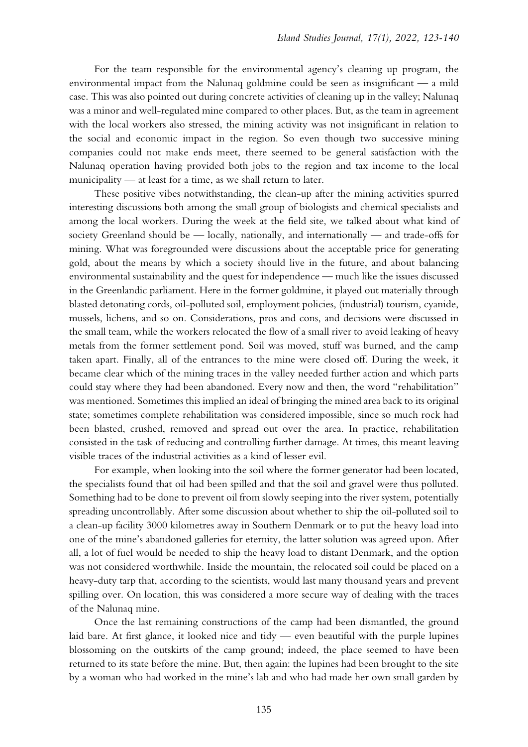For the team responsible for the environmental agency's cleaning up program, the environmental impact from the Nalunaq goldmine could be seen as insignificant — a mild case. This was also pointed out during concrete activities of cleaning up in the valley; Nalunaq was a minor and well-regulated mine compared to other places. But, as the team in agreement with the local workers also stressed, the mining activity was not insignificant in relation to the social and economic impact in the region. So even though two successive mining companies could not make ends meet, there seemed to be general satisfaction with the Nalunaq operation having provided both jobs to the region and tax income to the local municipality — at least for a time, as we shall return to later.

These positive vibes notwithstanding, the clean-up after the mining activities spurred interesting discussions both among the small group of biologists and chemical specialists and among the local workers. During the week at the field site, we talked about what kind of society Greenland should be — locally, nationally, and internationally — and trade-offs for mining. What was foregrounded were discussions about the acceptable price for generating gold, about the means by which a society should live in the future, and about balancing environmental sustainability and the quest for independence — much like the issues discussed in the Greenlandic parliament. Here in the former goldmine, it played out materially through blasted detonating cords, oil-polluted soil, employment policies, (industrial) tourism, cyanide, mussels, lichens, and so on. Considerations, pros and cons, and decisions were discussed in the small team, while the workers relocated the flow of a small river to avoid leaking of heavy metals from the former settlement pond. Soil was moved, stuff was burned, and the camp taken apart. Finally, all of the entrances to the mine were closed off. During the week, it became clear which of the mining traces in the valley needed further action and which parts could stay where they had been abandoned. Every now and then, the word "rehabilitation" was mentioned. Sometimes this implied an ideal of bringing the mined area back to its original state; sometimes complete rehabilitation was considered impossible, since so much rock had been blasted, crushed, removed and spread out over the area. In practice, rehabilitation consisted in the task of reducing and controlling further damage. At times, this meant leaving visible traces of the industrial activities as a kind of lesser evil.

For example, when looking into the soil where the former generator had been located, the specialists found that oil had been spilled and that the soil and gravel were thus polluted. Something had to be done to prevent oil from slowly seeping into the river system, potentially spreading uncontrollably. After some discussion about whether to ship the oil-polluted soil to a clean-up facility 3000 kilometres away in Southern Denmark or to put the heavy load into one of the mine's abandoned galleries for eternity, the latter solution was agreed upon. After all, a lot of fuel would be needed to ship the heavy load to distant Denmark, and the option was not considered worthwhile. Inside the mountain, the relocated soil could be placed on a heavy-duty tarp that, according to the scientists, would last many thousand years and prevent spilling over. On location, this was considered a more secure way of dealing with the traces of the Nalunaq mine.

Once the last remaining constructions of the camp had been dismantled, the ground laid bare. At first glance, it looked nice and tidy — even beautiful with the purple lupines blossoming on the outskirts of the camp ground; indeed, the place seemed to have been returned to its state before the mine. But, then again: the lupines had been brought to the site by a woman who had worked in the mine's lab and who had made her own small garden by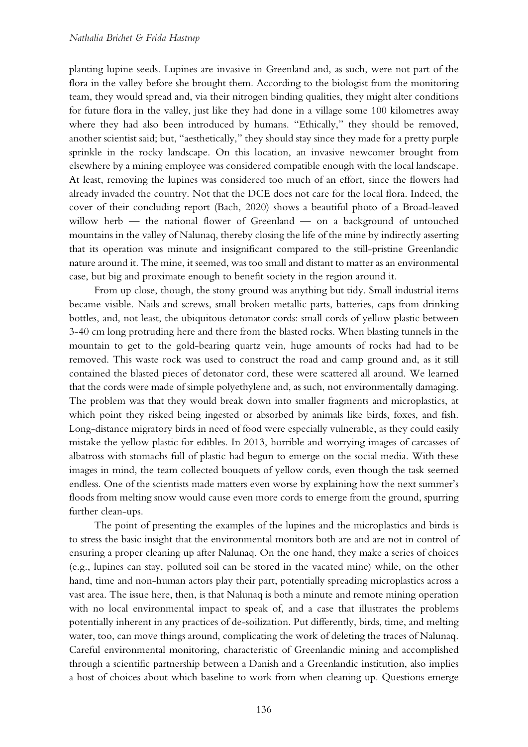planting lupine seeds. Lupines are invasive in Greenland and, as such, were not part of the flora in the valley before she brought them. According to the biologist from the monitoring team, they would spread and, via their nitrogen binding qualities, they might alter conditions for future flora in the valley, just like they had done in a village some 100 kilometres away where they had also been introduced by humans. "Ethically," they should be removed, another scientist said; but, "aesthetically," they should stay since they made for a pretty purple sprinkle in the rocky landscape. On this location, an invasive newcomer brought from elsewhere by a mining employee was considered compatible enough with the local landscape. At least, removing the lupines was considered too much of an effort, since the flowers had already invaded the country. Not that the DCE does not care for the local flora. Indeed, the cover of their concluding report (Bach, 2020) shows a beautiful photo of a Broad-leaved willow herb — the national flower of Greenland — on a background of untouched mountains in the valley of Nalunaq, thereby closing the life of the mine by indirectly asserting that its operation was minute and insignificant compared to the still-pristine Greenlandic nature around it. The mine, it seemed, was too small and distant to matter as an environmental case, but big and proximate enough to benefit society in the region around it.

From up close, though, the stony ground was anything but tidy. Small industrial items became visible. Nails and screws, small broken metallic parts, batteries, caps from drinking bottles, and, not least, the ubiquitous detonator cords: small cords of yellow plastic between 3-40 cm long protruding here and there from the blasted rocks. When blasting tunnels in the mountain to get to the gold-bearing quartz vein, huge amounts of rocks had had to be removed. This waste rock was used to construct the road and camp ground and, as it still contained the blasted pieces of detonator cord, these were scattered all around. We learned that the cords were made of simple polyethylene and, as such, not environmentally damaging. The problem was that they would break down into smaller fragments and microplastics, at which point they risked being ingested or absorbed by animals like birds, foxes, and fish. Long-distance migratory birds in need of food were especially vulnerable, as they could easily mistake the yellow plastic for edibles. In 2013, horrible and worrying images of carcasses of albatross with stomachs full of plastic had begun to emerge on the social media. With these images in mind, the team collected bouquets of yellow cords, even though the task seemed endless. One of the scientists made matters even worse by explaining how the next summer's floods from melting snow would cause even more cords to emerge from the ground, spurring further clean-ups.

The point of presenting the examples of the lupines and the microplastics and birds is to stress the basic insight that the environmental monitors both are and are not in control of ensuring a proper cleaning up after Nalunaq. On the one hand, they make a series of choices (e.g., lupines can stay, polluted soil can be stored in the vacated mine) while, on the other hand, time and non-human actors play their part, potentially spreading microplastics across a vast area. The issue here, then, is that Nalunaq is both a minute and remote mining operation with no local environmental impact to speak of, and a case that illustrates the problems potentially inherent in any practices of de-soilization. Put differently, birds, time, and melting water, too, can move things around, complicating the work of deleting the traces of Nalunaq. Careful environmental monitoring, characteristic of Greenlandic mining and accomplished through a scientific partnership between a Danish and a Greenlandic institution, also implies a host of choices about which baseline to work from when cleaning up. Questions emerge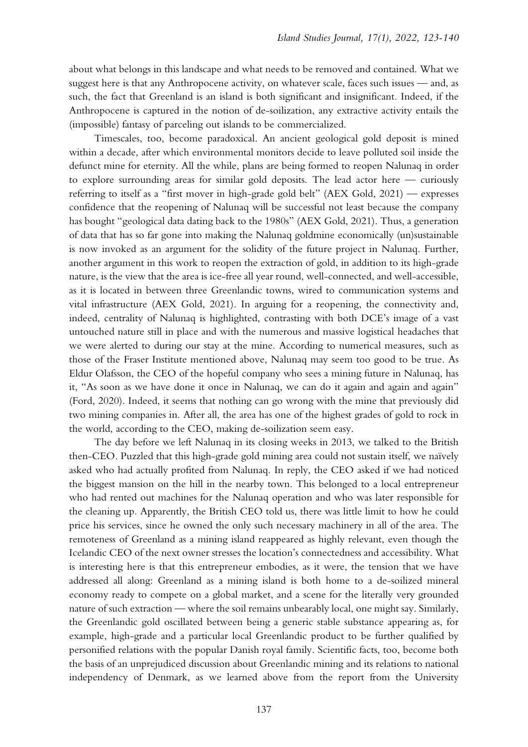about what belongs in this landscape and what needs to be removed and contained. What we suggest here is that any Anthropocene activity, on whatever scale, faces such issues — and, as such, the fact that Greenland is an island is both significant and insignificant. Indeed, if the Anthropocene is captured in the notion of de-soilization, any extractive activity entails the (impossible) fantasy of parceling out islands to be commercialized.

Timescales, too, become paradoxical. An ancient geological gold deposit is mined within a decade, after which environmental monitors decide to leave polluted soil inside the defunct mine for eternity. All the while, plans are being formed to reopen Nalunaq in order to explore surrounding areas for similar gold deposits. The lead actor here — curiously referring to itself as a "first mover in high-grade gold belt" (AEX Gold, 2021) — expresses confidence that the reopening of Nalunaq will be successful not least because the company has bought "geological data dating back to the 1980s" (AEX Gold, 2021). Thus, a generation of data that has so far gone into making the Nalunaq goldmine economically (un)sustainable is now invoked as an argument for the solidity of the future project in Nalunaq. Further, another argument in this work to reopen the extraction of gold, in addition to its high-grade nature, is the view that the area is ice-free all year round, well-connected, and well-accessible, as it is located in between three Greenlandic towns, wired to communication systems and vital infrastructure (AEX Gold, 2021). In arguing for a reopening, the connectivity and, indeed, centrality of Nalunaq is highlighted, contrasting with both DCE's image of a vast untouched nature still in place and with the numerous and massive logistical headaches that we were alerted to during our stay at the mine. According to numerical measures, such as those of the Fraser Institute mentioned above, Nalunaq may seem too good to be true. As Eldur Olafsson, the CEO of the hopeful company who sees a mining future in Nalunaq, has it, "As soon as we have done it once in Nalunaq, we can do it again and again and again" (Ford, 2020). Indeed, it seems that nothing can go wrong with the mine that previously did two mining companies in. After all, the area has one of the highest grades of gold to rock in the world, according to the CEO, making de-soilization seem easy.

The day before we left Nalunaq in its closing weeks in 2013, we talked to the British then-CEO. Puzzled that this high-grade gold mining area could not sustain itself, we naïvely asked who had actually profited from Nalunaq. In reply, the CEO asked if we had noticed the biggest mansion on the hill in the nearby town. This belonged to a local entrepreneur who had rented out machines for the Nalunaq operation and who was later responsible for the cleaning up. Apparently, the British CEO told us, there was little limit to how he could price his services, since he owned the only such necessary machinery in all of the area. The remoteness of Greenland as a mining island reappeared as highly relevant, even though the Icelandic CEO of the next owner stresses the location's connectedness and accessibility. What is interesting here is that this entrepreneur embodies, as it were, the tension that we have addressed all along: Greenland as a mining island is both home to a de-soilized mineral economy ready to compete on a global market, and a scene for the literally very grounded nature of such extraction — where the soil remains unbearably local, one might say. Similarly, the Greenlandic gold oscillated between being a generic stable substance appearing as, for example, high-grade and a particular local Greenlandic product to be further qualified by personified relations with the popular Danish royal family. Scientific facts, too, become both the basis of an unprejudiced discussion about Greenlandic mining and its relations to national independency of Denmark, as we learned above from the report from the University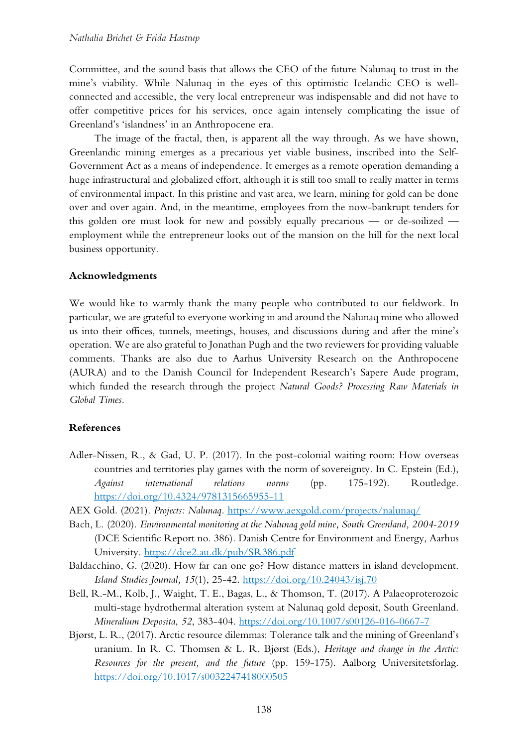Committee, and the sound basis that allows the CEO of the future Nalunaq to trust in the mine's viability. While Nalunaq in the eyes of this optimistic Icelandic CEO is wellconnected and accessible, the very local entrepreneur was indispensable and did not have to offer competitive prices for his services, once again intensely complicating the issue of Greenland's 'islandness' in an Anthropocene era.

The image of the fractal, then, is apparent all the way through. As we have shown, Greenlandic mining emerges as a precarious yet viable business, inscribed into the Self-Government Act as a means of independence. It emerges as a remote operation demanding a huge infrastructural and globalized effort, although it is still too small to really matter in terms of environmental impact. In this pristine and vast area, we learn, mining for gold can be done over and over again. And, in the meantime, employees from the now-bankrupt tenders for this golden ore must look for new and possibly equally precarious — or de-soilized employment while the entrepreneur looks out of the mansion on the hill for the next local business opportunity.

## **Acknowledgments**

We would like to warmly thank the many people who contributed to our fieldwork. In particular, we are grateful to everyone working in and around the Nalunaq mine who allowed us into their offices, tunnels, meetings, houses, and discussions during and after the mine's operation. We are also grateful to Jonathan Pugh and the two reviewers for providing valuable comments. Thanks are also due to Aarhus University Research on the Anthropocene (AURA) and to the Danish Council for Independent Research's Sapere Aude program, which funded the research through the project *Natural Goods? Processing Raw Materials in Global Times*.

#### **References**

- Adler-Nissen, R., & Gad, U. P. (2017). In the post-colonial waiting room: How overseas countries and territories play games with the norm of sovereignty. In C. Epstein (Ed.), *Against international relations norms* (pp. 175-192). Routledge. <https://doi.org/10.4324/9781315665955-11>
- AEX Gold. (2021). *Projects: Nalunaq.* <https://www.aexgold.com/projects/nalunaq/>
- Bach, L. (2020). *Environmental monitoring at the Nalunaq gold mine, South Greenland, 2004-2019* (DCE Scientific Report no. 386)*.* Danish Centre for Environment and Energy, Aarhus University. <https://dce2.au.dk/pub/SR386.pdf>
- Baldacchino, G. (2020). How far can one go? How distance matters in island development. *Island Studies Journal, 15*(1), 25-42.<https://doi.org/10.24043/isj.70>
- Bell, R.-M., Kolb, J., Waight, T. E., Bagas, L., & Thomson, T. (2017). A Palaeoproterozoic multi-stage hydrothermal alteration system at Nalunaq gold deposit, South Greenland. *Mineralium Deposita*, *52*, 383-404.<https://doi.org/10.1007/s00126-016-0667-7>
- Bjørst, L. R., (2017). Arctic resource dilemmas: Tolerance talk and the mining of Greenland's uranium. In R. C. Thomsen & L. R. Bjørst (Eds.), *Heritage and change in the Arctic: Resources for the present, and the future* (pp. 159-175). Aalborg Universitetsforlag. <https://doi.org/10.1017/s0032247418000505>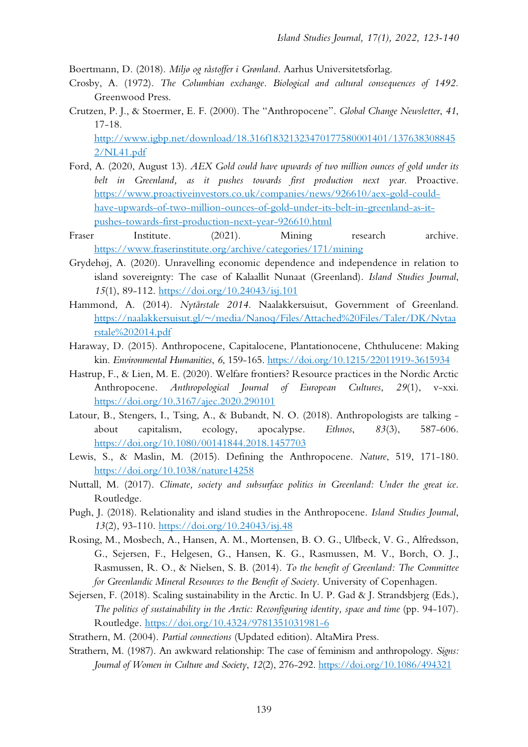Boertmann, D. (2018). *Miljø og råstoffer i Grønland*. Aarhus Universitetsforlag.

- Crosby, A. (1972). *The Columbian exchange. Biological and cultural consequences of 1492.* Greenwood Press.
- Crutzen, P. J., & Stoermer, E. F. (2000). The "Anthropocene". *Global Change Newsletter*, *41*, 17-18. [http://www.igbp.net/download/18.316f18321323470177580001401/137638308845](http://www.igbp.net/download/18.316f18321323470177580001401/1376383088452/NL41.pdf)

[2/NL41.pdf](http://www.igbp.net/download/18.316f18321323470177580001401/1376383088452/NL41.pdf)

- Ford, A. (2020, August 13). *AEX Gold could have upwards of two million ounces of gold under its belt in Greenland, as it pushes towards first production next year*. Proactive. [https://www.proactiveinvestors.co.uk/companies/news/926610/aex-gold-could](https://www.proactiveinvestors.co.uk/companies/news/926610/aex-gold-could-have-upwards-of-two-million-ounces-of-gold-under-its-belt-in-greenland-as-it-pushes-towards-first-production-next-year-926610.html)[have-upwards-of-two-million-ounces-of-gold-under-its-belt-in-greenland-as-it](https://www.proactiveinvestors.co.uk/companies/news/926610/aex-gold-could-have-upwards-of-two-million-ounces-of-gold-under-its-belt-in-greenland-as-it-pushes-towards-first-production-next-year-926610.html)[pushes-towards-first-production-next-year-926610.html](https://www.proactiveinvestors.co.uk/companies/news/926610/aex-gold-could-have-upwards-of-two-million-ounces-of-gold-under-its-belt-in-greenland-as-it-pushes-towards-first-production-next-year-926610.html)
- Fraser Institute. (2021). Mining research archive. <https://www.fraserinstitute.org/archive/categories/171/mining>
- Grydehøj, A. (2020). Unravelling economic dependence and independence in relation to island sovereignty: The case of Kalaallit Nunaat (Greenland). *Island Studies Journal*, *15*(1), 89-112.<https://doi.org/10.24043/isj.101>
- Hammond, A. (2014). *Nytårstale 2014.* Naalakkersuisut, Government of Greenland. [https://naalakkersuisut.gl/~/media/Nanoq/Files/Attached%20Files/Taler/DK/Nytaa](https://naalakkersuisut.gl/%7E/media/Nanoq/Files/Attached%20Files/Taler/DK/Nytaarstale%202014.pdf) [rstale%202014.pdf](https://naalakkersuisut.gl/%7E/media/Nanoq/Files/Attached%20Files/Taler/DK/Nytaarstale%202014.pdf)
- Haraway, D. (2015). Anthropocene, Capitalocene, Plantationocene, Chthulucene: Making kin. *Environmental Humanities*, *6*, 159-165. <https://doi.org/10.1215/22011919-3615934>
- Hastrup, F., & Lien, M. E. (2020). Welfare frontiers? Resource practices in the Nordic Arctic Anthropocene. *Anthropological Journal of European Cultures*, *29*(1), v-xxi. <https://doi.org/10.3167/ajec.2020.290101>
- Latour, B., Stengers, I., Tsing, A., & Bubandt, N. O. (2018). Anthropologists are talking about capitalism, ecology, apocalypse. *Ethnos*, *83*(3), 587-606. <https://doi.org/10.1080/00141844.2018.1457703>
- Lewis, S., & Maslin, M. (2015). Defining the Anthropocene. *Nature*, 519, 171-180. <https://doi.org/10.1038/nature14258>
- Nuttall, M. (2017). *Climate, society and subsurface politics in Greenland: Under the great ice*. Routledge.
- Pugh, J. (2018). Relationality and island studies in the Anthropocene. *Island Studies Journal*, *13*(2), 93-110. <https://doi.org/10.24043/isj.48>
- Rosing, M., Mosbech, A., Hansen, A. M., Mortensen, B. O. G., Ulfbeck, V. G., Alfredsson, G., Sejersen, F., Helgesen, G., Hansen, K. G., Rasmussen, M. V., Borch, O. J., Rasmussen, R. O., & Nielsen, S. B. (2014). *To the benefit of Greenland: The Committee for Greenlandic Mineral Resources to the Benefit of Society*. University of Copenhagen.
- Sejersen, F. (2018). Scaling sustainability in the Arctic. In U. P. Gad & J. Strandsbjerg (Eds.), *The politics of sustainability in the Arctic: Reconfiguring identity, space and time* (pp. 94-107). Routledge. <https://doi.org/10.4324/9781351031981-6>
- Strathern, M. (2004). *Partial connections* (Updated edition). AltaMira Press.
- Strathern, M. (1987). An awkward relationship: The case of feminism and anthropology. *Signs: Journal of Women in Culture and Society*, *12*(2), 276-292. <https://doi.org/10.1086/494321>